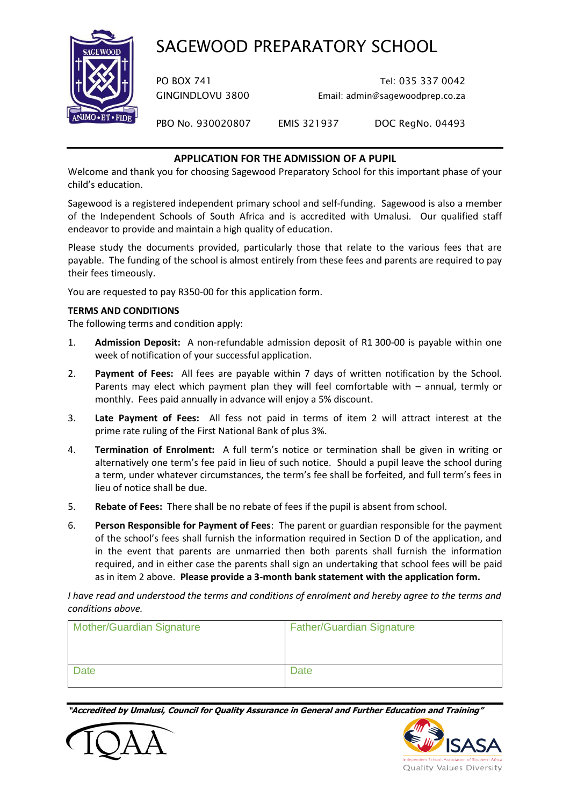# SAGEWOOD PREPARATORY SCHOOL



PO BOX 741 Tel: 035 337 0042 GINGINDLOVU 3800 Email: admin@sagewoodprep.co.za

PBO No. 930020807 EMIS 321937 DOC RegNo. 04493

## **APPLICATION FOR THE ADMISSION OF A PUPIL**

Welcome and thank you for choosing Sagewood Preparatory School for this important phase of your child's education.

Sagewood is a registered independent primary school and self-funding. Sagewood is also a member of the Independent Schools of South Africa and is accredited with Umalusi. Our qualified staff endeavor to provide and maintain a high quality of education.

Please study the documents provided, particularly those that relate to the various fees that are payable. The funding of the school is almost entirely from these fees and parents are required to pay their fees timeously.

You are requested to pay R350-00 for this application form.

#### **TERMS AND CONDITIONS**

The following terms and condition apply:

- 1. **Admission Deposit:** A non-refundable admission deposit of R1 300-00 is payable within one week of notification of your successful application.
- 2. **Payment of Fees:** All fees are payable within 7 days of written notification by the School. Parents may elect which payment plan they will feel comfortable with – annual, termly or monthly. Fees paid annually in advance will enjoy a 5% discount.
- 3. **Late Payment of Fees:** All fess not paid in terms of item 2 will attract interest at the prime rate ruling of the First National Bank of plus 3%.
- 4. **Termination of Enrolment:** A full term's notice or termination shall be given in writing or alternatively one term's fee paid in lieu of such notice. Should a pupil leave the school during a term, under whatever circumstances, the term's fee shall be forfeited, and full term's fees in lieu of notice shall be due.
- 5. **Rebate of Fees:** There shall be no rebate of fees if the pupil is absent from school.
- 6. **Person Responsible for Payment of Fees**: The parent or guardian responsible for the payment of the school's fees shall furnish the information required in Section D of the application, and in the event that parents are unmarried then both parents shall furnish the information required, and in either case the parents shall sign an undertaking that school fees will be paid as in item 2 above. **Please provide a 3-month bank statement with the application form.**

*I have read and understood the terms and conditions of enrolment and hereby agree to the terms and conditions above.*

| <b>Mother/Guardian Signature</b> | <b>Father/Guardian Signature</b> |
|----------------------------------|----------------------------------|
| <b>Date</b>                      | Date                             |

**"Accredited by Umalusi, Council for Quality Assurance in General and Further Education and Training"**



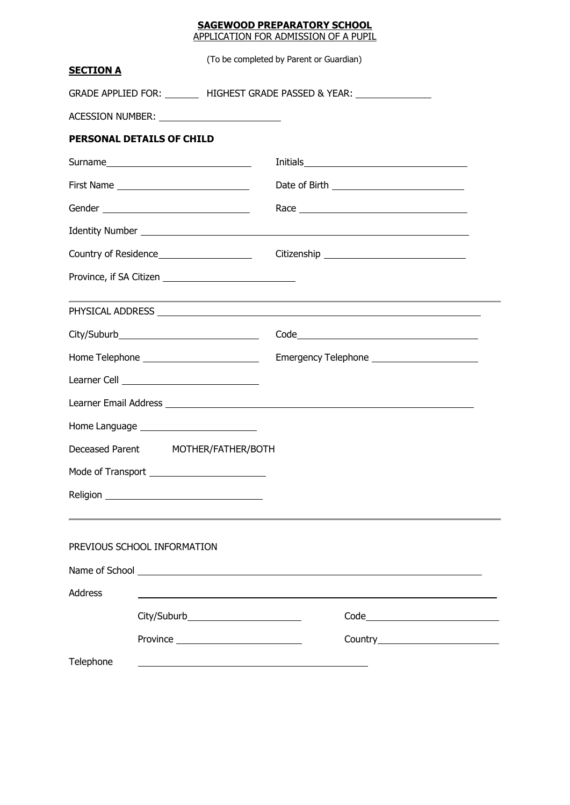#### **SAGEWOOD PREPARATORY SCHOOL** APPLICATION FOR ADMISSION OF A PUPIL

| <b>SECTION A</b>            |                                                 | (To be completed by Parent or Guardian)                                                                               |
|-----------------------------|-------------------------------------------------|-----------------------------------------------------------------------------------------------------------------------|
|                             |                                                 | GRADE APPLIED FOR: ________ HIGHEST GRADE PASSED & YEAR: _______________                                              |
|                             | ACESSION NUMBER: ______________________________ |                                                                                                                       |
| PERSONAL DETAILS OF CHILD   |                                                 |                                                                                                                       |
|                             |                                                 |                                                                                                                       |
|                             |                                                 | Date of Birth _______________________________                                                                         |
|                             |                                                 |                                                                                                                       |
|                             |                                                 |                                                                                                                       |
|                             |                                                 |                                                                                                                       |
|                             |                                                 |                                                                                                                       |
|                             |                                                 | <u> 1989 - Jan Samuel Barbara, margaret e popularista e a contrador de la contrador de la contrador de la contrad</u> |
|                             |                                                 |                                                                                                                       |
|                             |                                                 |                                                                                                                       |
|                             | Learner Cell ________________________________   |                                                                                                                       |
|                             |                                                 |                                                                                                                       |
|                             | Home Language __________________________        |                                                                                                                       |
|                             | Deceased Parent MOTHER/FATHER/BOTH              |                                                                                                                       |
|                             | Mode of Transport _______________________       |                                                                                                                       |
|                             |                                                 |                                                                                                                       |
|                             |                                                 |                                                                                                                       |
| PREVIOUS SCHOOL INFORMATION |                                                 |                                                                                                                       |
|                             |                                                 |                                                                                                                       |
| Address                     |                                                 | ,我们也不会有什么。""我们的人,我们也不会有什么?""我们的人,我们也不会有什么?""我们的人,我们也不会有什么?""我们的人,我们也不会有什么?""我们的人                                      |
|                             | City/Suburb________________________             |                                                                                                                       |
|                             |                                                 |                                                                                                                       |
| Telephone                   |                                                 |                                                                                                                       |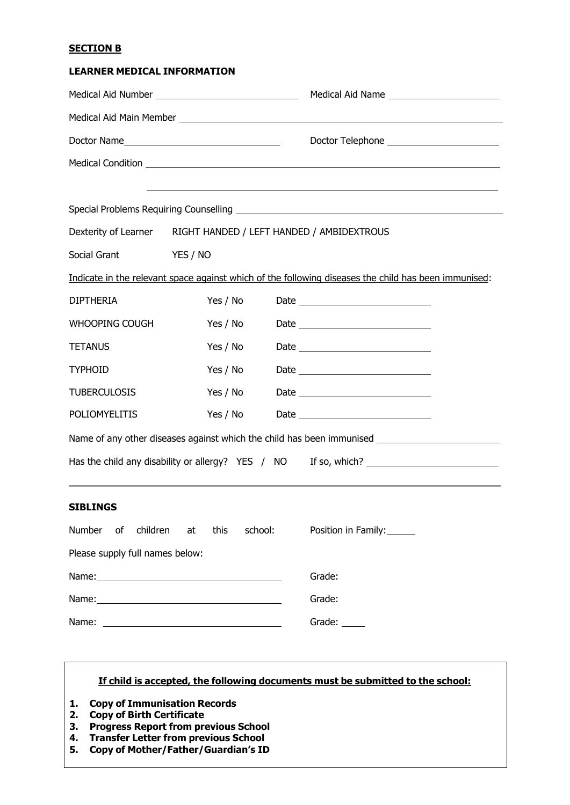#### **SECTION B**

| <b>LEARNER MEDICAL INFORMATION</b> |                                                       |                                                                                                      |
|------------------------------------|-------------------------------------------------------|------------------------------------------------------------------------------------------------------|
|                                    |                                                       | Medical Aid Name ____________________________                                                        |
|                                    |                                                       |                                                                                                      |
|                                    |                                                       | Doctor Telephone ________________________                                                            |
|                                    |                                                       | Medical Condition <b>Medical Condition</b>                                                           |
|                                    |                                                       | ,我们也不会有什么。""我们的人,我们也不会有什么?""我们的人,我们也不会有什么?""我们的人,我们也不会有什么?""我们的人,我们也不会有什么?""我们的人                     |
|                                    |                                                       |                                                                                                      |
|                                    |                                                       | Dexterity of Learner RIGHT HANDED / LEFT HANDED / AMBIDEXTROUS                                       |
| Social Grant                       | <b>YES / NO</b>                                       |                                                                                                      |
|                                    |                                                       | Indicate in the relevant space against which of the following diseases the child has been immunised: |
| <b>DIPTHERIA</b>                   | Yes / No                                              | Date <u>__________________________</u>                                                               |
| WHOOPING COUGH                     | Yes / No                                              |                                                                                                      |
| <b>TETANUS</b>                     | Yes / No                                              |                                                                                                      |
| <b>TYPHOID</b>                     | Yes / No                                              |                                                                                                      |
| <b>TUBERCULOSIS</b>                | Yes / No                                              |                                                                                                      |
| POLIOMYELITIS                      | Yes / No                                              |                                                                                                      |
|                                    |                                                       | Name of any other diseases against which the child has been immunised _____________________________  |
|                                    |                                                       | Has the child any disability or allergy? YES / NO If so, which? _________________                    |
| <b>SIBLINGS</b>                    |                                                       |                                                                                                      |
| Number of<br>children              | school:<br>this<br>at                                 | Position in Family:                                                                                  |
| Please supply full names below:    |                                                       |                                                                                                      |
|                                    |                                                       | Grade:                                                                                               |
|                                    |                                                       | Grade:                                                                                               |
| Name:                              | <u> 1989 - Johann Stein, fransk politik (d. 1989)</u> | Grade: $\_\_$                                                                                        |

#### **If child is accepted, the following documents must be submitted to the school:**

- **1. Copy of Immunisation Records**
- **2. Copy of Birth Certificate**
- **3. Progress Report from previous School**
- **4. Transfer Letter from previous School**
- **5. Copy of Mother/Father/Guardian's ID**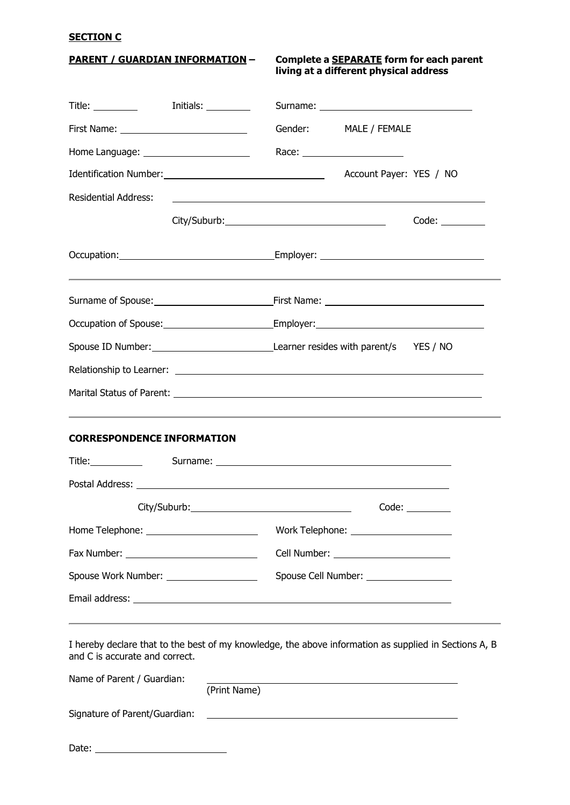### **SECTION C**

**PARENT / GUARDIAN INFORMATION – Complete a SEPARATE form for each parent living at a different physical address**

| Title: Initials:                                                                                                                        |                                                           |         |                                                                                                                                                                                                                                |       |
|-----------------------------------------------------------------------------------------------------------------------------------------|-----------------------------------------------------------|---------|--------------------------------------------------------------------------------------------------------------------------------------------------------------------------------------------------------------------------------|-------|
|                                                                                                                                         |                                                           | Gender: | MALE / FEMALE                                                                                                                                                                                                                  |       |
| Home Language: ________________________                                                                                                 |                                                           |         | Race: __________________________                                                                                                                                                                                               |       |
|                                                                                                                                         |                                                           |         |                                                                                                                                                                                                                                |       |
| <b>Residential Address:</b>                                                                                                             | <u> 1989 - Johann Barnett, fransk politiker (d. 1989)</u> |         |                                                                                                                                                                                                                                |       |
|                                                                                                                                         |                                                           |         |                                                                                                                                                                                                                                | Code: |
|                                                                                                                                         |                                                           |         |                                                                                                                                                                                                                                |       |
|                                                                                                                                         |                                                           |         |                                                                                                                                                                                                                                |       |
|                                                                                                                                         |                                                           |         |                                                                                                                                                                                                                                |       |
|                                                                                                                                         |                                                           |         |                                                                                                                                                                                                                                |       |
|                                                                                                                                         |                                                           |         |                                                                                                                                                                                                                                |       |
|                                                                                                                                         |                                                           |         |                                                                                                                                                                                                                                |       |
| <b>CORRESPONDENCE INFORMATION</b>                                                                                                       |                                                           |         |                                                                                                                                                                                                                                |       |
|                                                                                                                                         |                                                           |         |                                                                                                                                                                                                                                |       |
|                                                                                                                                         |                                                           |         |                                                                                                                                                                                                                                |       |
|                                                                                                                                         |                                                           |         |                                                                                                                                                                                                                                |       |
|                                                                                                                                         |                                                           |         |                                                                                                                                                                                                                                |       |
|                                                                                                                                         |                                                           |         | Cell Number: The Contract of the Contract of the Contract of the Contract of the Contract of the Contract of the Contract of the Contract of the Contract of the Contract of the Contract of the Contract of the Contract of t |       |
| Spouse Work Number: ____________________                                                                                                |                                                           |         | Spouse Cell Number: ___________________                                                                                                                                                                                        |       |
|                                                                                                                                         |                                                           |         |                                                                                                                                                                                                                                |       |
| I hereby declare that to the best of my knowledge, the above information as supplied in Sections A, B<br>and C is accurate and correct. |                                                           |         |                                                                                                                                                                                                                                |       |
| Name of Parent / Guardian:                                                                                                              | (Print Name)                                              |         |                                                                                                                                                                                                                                |       |
| Signature of Parent/Guardian:                                                                                                           |                                                           |         |                                                                                                                                                                                                                                |       |

Date: